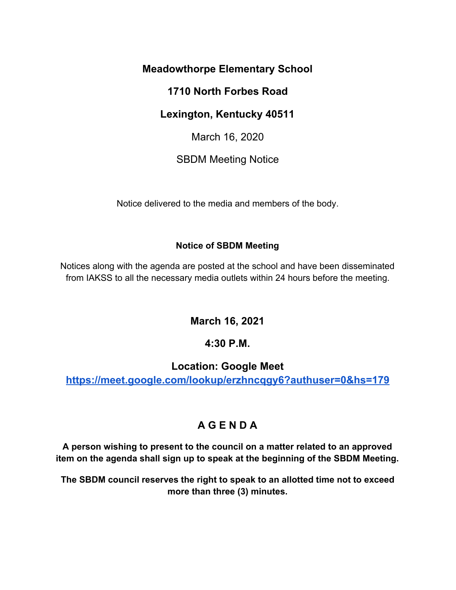#### **Meadowthorpe Elementary School**

### **1710 North Forbes Road**

## **Lexington, Kentucky 40511**

March 16, 2020

## SBDM Meeting Notice

Notice delivered to the media and members of the body.

#### **Notice of SBDM Meeting**

Notices along with the agenda are posted at the school and have been disseminated from IAKSS to all the necessary media outlets within 24 hours before the meeting.

**March 16, 2021**

## **4:30 P.M.**

## **Location: Google Mee[t](https://meet.google.com/lookup/erzhncqgy6?authuser=0&hs=179)**

**<https://meet.google.com/lookup/erzhncqgy6?authuser=0&hs=179>**

# **A G E N D A**

**A person wishing to present to the council on a matter related to an approved item on the agenda shall sign up to speak at the beginning of the SBDM Meeting.**

**The SBDM council reserves the right to speak to an allotted time not to exceed more than three (3) minutes.**